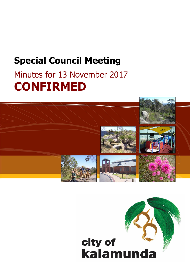# **Special Council Meeting**

# Minutes for 13 November 2017 **CONFIRMED**



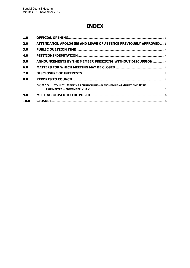# **INDEX**

| 1.0  |                                                                         |  |
|------|-------------------------------------------------------------------------|--|
| 2.0  | ATTENDANCE, APOLOGIES AND LEAVE OF ABSENCE PREVIOUSLY APPROVED 3        |  |
| 3.0  |                                                                         |  |
| 4.0  |                                                                         |  |
| 5.0  | ANNOUNCEMENTS BY THE MEMBER PRESIDING WITHOUT DISCUSSION 4              |  |
| 6.0  |                                                                         |  |
| 7.0  |                                                                         |  |
| 8.0  |                                                                         |  |
|      | <b>SCM 15. COUNCIL MEETINGS STRUCTURE - RESCHEDULING AUDIT AND RISK</b> |  |
| 9.0  |                                                                         |  |
| 10.0 |                                                                         |  |
|      |                                                                         |  |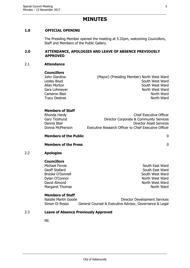# **MINUTES**

# <span id="page-2-0"></span>**1.0 OFFICIAL OPENING**

The Presiding Member opened the meeting at 5.32pm, welcoming Councillors, Staff and Members of the Public Gallery.

#### <span id="page-2-1"></span>**2.0 ATTENDANCE, APOLOGIES AND LEAVE OF ABSENCE PREVIOUSLY APPROVED**

#### 2.1 **Attendance**

#### **Councillors**

John Giardina (Mayor) (Presiding Member) North West Ward Lesley Boyd **South West Ward** Allan Morton **South West Ward** Sara Lohmeyer North West Ward Cameron Blair **North Ward** Cameron Blair **North Ward** Tracy Destree North Ward

# **Members of Staff**

| Rhonda Hardy    | <b>Chief Executive Officer</b>                        |
|-----------------|-------------------------------------------------------|
| Gary Ticehurst  | Director Corporate & Community Services               |
| Dennis Blair    | Director Asset Services                               |
| Donna McPherson | Executive Research Officer to Chief Executive Officer |
|                 |                                                       |

# **Members of the Public** 0

#### **Members of the Press** 0

#### 2.2 **Apologies**

**Councillors**

Geoff Stallard South East Ward Brooke O'Donnell South West Ward Dylan O'Connor North West Ward David Almond North West Ward Margaret Thomas North Ward

Michael Fernie South East Ward

# **Members of Staff**

Natalie Martin Goode **Director Development Services** Simon Di Rosso General Counsel & Executive Advisor, Governance & Legal

# 2.3 **Leave of Absence Previously Approved**

Nil.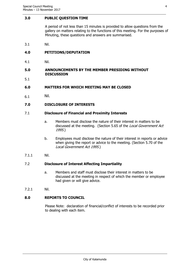#### <span id="page-3-0"></span>**3.0 PUBLIC QUESTION TIME**

A period of not less than 15 minutes is provided to allow questions from the gallery on matters relating to the functions of this meeting. For the purposes of Minuting, these questions and answers are summarised.

3.1 Nil.

# <span id="page-3-1"></span>**4.0 PETITIONS/DEPUTATION**

4.1 Nil.

#### <span id="page-3-2"></span>**5.0 ANNOUNCEMENTS BY THE MEMBER PRESIDING WITHOUT DISCUSSION**

5.1

#### <span id="page-3-3"></span>**6.0 MATTERS FOR WHICH MEETING MAY BE CLOSED**

6.1 Nil.

# <span id="page-3-4"></span>**7.0 DISCLOSURE OF INTERESTS**

#### 7.1 **Disclosure of Financial and Proximity Interests**

- a. Members must disclose the nature of their interest in matters to be discussed at the meeting. (Section 5.65 of the *Local Government Act* 1995.)
- b. Employees must disclose the nature of their interest in reports or advice when giving the report or advice to the meeting. (Section 5.70 of the Local Government Act 1995.)
- 7.1.1 Nil.

# 7.2 **Disclosure of Interest Affecting Impartiality**

- a. Members and staff must disclose their interest in matters to be discussed at the meeting in respect of which the member or employee had given or will give advice.
- 7.2.1 Nil.

# <span id="page-3-5"></span>**8.0 REPORTS TO COUNCIL**

Please Note: declaration of financial/conflict of interests to be recorded prior to dealing with each item.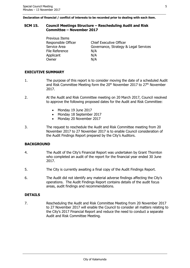**Declaration of financial / conflict of interests to be recorded prior to dealing with each item.**

#### <span id="page-4-0"></span>**SCM 15. Council Meetings Structure – Rescheduling Audit and Risk Committee – November 2017**

Previous Items File Reference N/A Applicant N/A Owner N/A

Responsible Officer Chief Executive Officer Service Area **Governance, Strategy & Legal Services** 

# **EXECUTIVE SUMMARY**

- 1. The purpose of this report is to consider moving the date of a scheduled Audit and Risk Committee Meeting form the  $20<sup>th</sup>$  November 2017 to  $27<sup>th</sup>$  November 2017.
- 2. At the Audit and Risk Committee meeting on 20 March 2017, Council resolved to approve the following proposed dates for the Audit and Risk Committee:
	- Monday 19 June 2017
	- Monday 18 September 2017
	- Monday 20 November 2017
- 3. The request to reschedule the Audit and Risk Committee meeting from 20 November 2017 to 27 November 2017 is to enable Council consideration of the Audit Findings Report prepared by the City's Auditors.

# **BACKGROUND**

- 4. The Audit of the City's Financial Report was undertaken by Grant Thornton who completed an audit of the report for the financial year ended 30 June 2017.
- 5. The City is currently awaiting a final copy of the Audit Findings Report.
- 6. The Audit did not identify any material adverse findings affecting the City's operations. The Audit Findings Report contains details of the audit focus areas, audit findings and recommendations.

# **DETAILS**

7. Rescheduling the Audit and Risk Committee Meeting from 20 November 2017 to 27 November 2017 will enable the Council to consider all matters relating to the City's 2017 Financial Report and reduce the need to conduct a separate Audit and Risk Committee Meeting.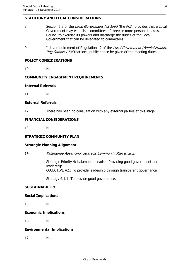# **STATUTORY AND LEGAL CONSIDERATIONS**

- 8. Section 5.8 of the Local Government Act 1995 (the Act), provides that a Local Government may establish committees of three or more persons to assist Council to exercise its powers and discharge the duties of the Local Government that can be delegated to committees.
- 9. It is a requirement of Regulation 12 of the Local Government (Administration) Regulations 1996 that local public notice be given of the meeting dates.

#### **POLICY CONSIDERATIONS**

10. Nil.

# **COMMUNITY ENGAGEMENT REQUIREMENTS**

#### **Internal Referrals**

11. Nil.

#### **External Referrals**

12. There has been no consultation with any external parties at this stage.

#### **FINANCIAL CONSIDERATIONS**

13. Nil.

# **STRATEGIC COMMUNITY PLAN**

#### **Strategic Planning Alignment**

14. Kalamunda Advancing: Strategic Community Plan to 2027

Strategic Priority 4: Kalamunda Leads – Providing good government and leadership

OBJECTIVE 4.1: To provide leadership through transparent governance.

Strategy 4.1.1: To provide good governance.

#### **SUSTAINABILITY**

#### **Social Implications**

15. Nil.

#### **Economic Implications**

16. Nil.

#### **Environmental Implications**

17. Nil.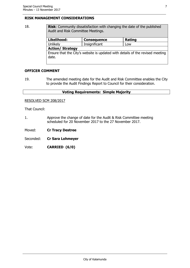# **RISK MANAGEMENT CONSIDERATIONS**

# 18. **Risk**: Community dissatisfaction with changing the date of the published Audit and Risk Committee Meetings. **Likelihood: Consequence Rating** Unlikely Insignificant Low

**Action/ Strategy** Ensure that the City's website is updated with details of the revised meeting date.

# **OFFICER COMMENT**

19. The amended meeting date for the Audit and Risk Committee enables the City to provide the Audit Findings Report to Council for their consideration.

# **Voting Requirements: Simple Majority**

RESOLVED SCM 208/2017

That Council:

- 1. Approve the change of date for the Audit & Risk Committee meeting scheduled for 20 November 2017 to the 27 November 2017.
- Moved: **Cr Tracy Destree**
- Seconded: **Cr Sara Lohmeyer**
- Vote: **CARRIED (6/0)**